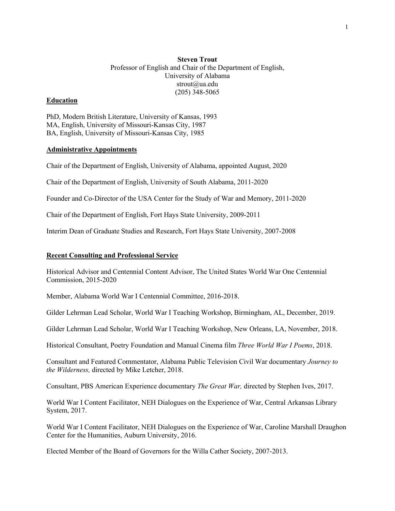# **Steven Trout** Professor of English and Chair of the Department of English, University of Alabama strout@ua.edu (205) 348-5065

### **Education**

PhD, Modern British Literature, University of Kansas, 1993 MA, English, University of Missouri-Kansas City, 1987 BA, English, University of Missouri-Kansas City, 1985

#### **Administrative Appointments**

Chair of the Department of English, University of Alabama, appointed August, 2020

Chair of the Department of English, University of South Alabama, 2011-2020

Founder and Co-Director of the USA Center for the Study of War and Memory, 2011-2020

Chair of the Department of English, Fort Hays State University, 2009-2011

Interim Dean of Graduate Studies and Research, Fort Hays State University, 2007-2008

#### **Recent Consulting and Professional Service**

Historical Advisor and Centennial Content Advisor, The United States World War One Centennial Commission, 2015-2020

Member, Alabama World War I Centennial Committee, 2016-2018.

Gilder Lehrman Lead Scholar, World War I Teaching Workshop, Birmingham, AL, December, 2019.

Gilder Lehrman Lead Scholar, World War I Teaching Workshop, New Orleans, LA, November, 2018.

Historical Consultant, Poetry Foundation and Manual Cinema film *Three World War I Poems*, 2018.

Consultant and Featured Commentator, Alabama Public Television Civil War documentary *Journey to the Wilderness,* directed by Mike Letcher, 2018.

Consultant, PBS American Experience documentary *The Great War,* directed by Stephen Ives, 2017.

World War I Content Facilitator, NEH Dialogues on the Experience of War, Central Arkansas Library System, 2017.

World War I Content Facilitator, NEH Dialogues on the Experience of War, Caroline Marshall Draughon Center for the Humanities, Auburn University, 2016.

Elected Member of the Board of Governors for the Willa Cather Society, 2007-2013.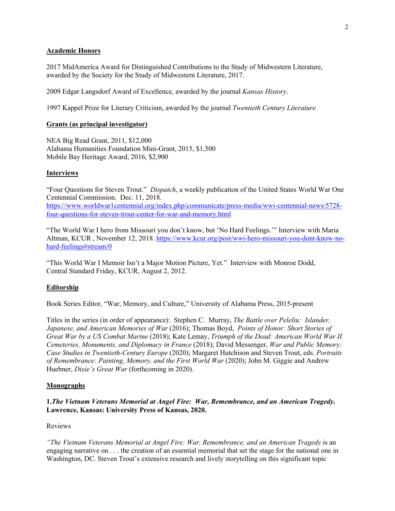### **Academic Honors**

2017 MidAmerica Award for Distinguished Contributions to the Study of Midwestern Literature, awarded by the Society for the Study of Midwestern Literature, 2017.

2009 Edgar Langsdorf Award of Excellence, awarded by the journal *Kansas History*.

1997 Kappel Prize for Literary Criticism, awarded by the journal *Twentieth Century Literature*

# **Grants (as principal investigator)**

NEA Big Read Grant, 2011, \$12,000 Alabama Humanities Foundation Mini-Grant, 2015, \$1,500 Mobile Bay Heritage Award, 2016, \$2,900

## **Interviews**

"Four Questions for Steven Trout." *Dispatch*, a weekly publication of the United States World War One Centennial Commission. Dec. 11, 2018. https://www.worldwar1centennial.org/index.php/communicate/press-media/wwi-centennial-news/5728 four-questions-for-steven-trout-center-for-war-and-memory.html

"The World War I hero from Missouri you don't know, but 'No Hard Feelings.'" Interview with Maria Altman, KCUR , November 12, 2018. https://www.kcur.org/post/wwi-hero-missouri-you-dont-know-nohard-feelings#stream/0

"This World War I Memoir Isn't a Major Motion Picture, Yet." Interview with Monroe Dodd, Central Standard Friday, KCUR, August 2, 2012.

# **Editorship**

Book Series Editor, "War, Memory, and Culture," University of Alabama Press, 2015-present

Titles in the series (in order of appearance): Stephen C. Murray, *The Battle over Peleliu: Islander, Japanese, and American Memories of War* (2016); Thomas Boyd, *Points of Honor: Short Stories of Great War by a US Combat Marine* (2018); Kate Lemay, *Triumph of the Dead: American World War II Cemeteries, Monuments, and Diplomacy in France* (2018); David Messenger, *War and Public Memory: Case Studies in Twentieth-Century Europe* (2020); Margaret Hutchison and Steven Trout, eds. *Portraits of Remembrance: Painting, Memory, and the First World War* (2020); John M. Giggie and Andrew Huebner, *Dixie's Great War* (forthcoming in 2020).

### **Monographs**

# **1.***The Vietnam Veterans Memorial at Angel Fire: War, Remembrance, and an American Tragedy***. Lawrence, Kansas: University Press of Kansas, 2020.**

### Reviews

*"The Vietnam Veterans Memorial at Angel Fire: War, Remembrance, and an American Tragedy* is an engaging narrative on . . . the creation of an essential memorial that set the stage for the national one in Washington, DC. Steven Trout's extensive research and lively storytelling on this significant topic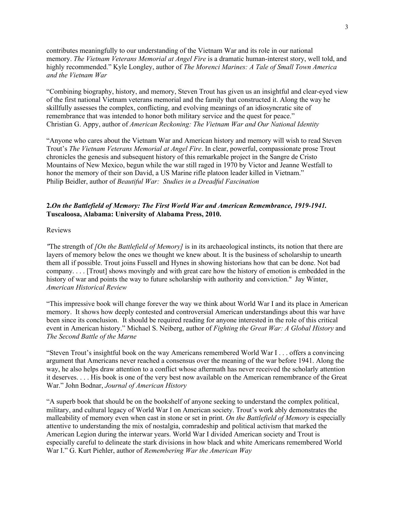contributes meaningfully to our understanding of the Vietnam War and its role in our national memory. *The Vietnam Veterans Memorial at Angel Fire* is a dramatic human-interest story, well told, and highly recommended." Kyle Longley, author of *The Morenci Marines: A Tale of Small Town America and the Vietnam War*

"Combining biography, history, and memory, Steven Trout has given us an insightful and clear-eyed view of the first national Vietnam veterans memorial and the family that constructed it. Along the way he skillfully assesses the complex, conflicting, and evolving meanings of an idiosyncratic site of remembrance that was intended to honor both military service and the quest for peace." Christian G. Appy, author of *American Reckoning: The Vietnam War and Our National Identity*

"Anyone who cares about the Vietnam War and American history and memory will wish to read Steven Trout's *The Vietnam Veterans Memorial at Angel Fire*. In clear, powerful, compassionate prose Trout chronicles the genesis and subsequent history of this remarkable project in the Sangre de Cristo Mountains of New Mexico, begun while the war still raged in 1970 by Victor and Jeanne Westfall to honor the memory of their son David, a US Marine rifle platoon leader killed in Vietnam." Philip Beidler, author of *Beautiful War: Studies in a Dreadful Fascination*

# **2.***On the Battlefield of Memory: The First World War and American Remembrance, 1919-1941.* **Tuscaloosa, Alabama: University of Alabama Press, 2010.**

## Reviews

*"*The strength of *[On the Battlefield of Memory]* is in its archaeological instincts, its notion that there are layers of memory below the ones we thought we knew about. It is the business of scholarship to unearth them all if possible. Trout joins Fussell and Hynes in showing historians how that can be done. Not bad company. . . . [Trout] shows movingly and with great care how the history of emotion is embedded in the history of war and points the way to future scholarship with authority and conviction." Jay Winter, *American Historical Review*

"This impressive book will change forever the way we think about World War I and its place in American memory. It shows how deeply contested and controversial American understandings about this war have been since its conclusion. It should be required reading for anyone interested in the role of this critical event in American history." Michael S. Neiberg, author of *Fighting the Great War: A Global History* and *The Second Battle of the Marne*

"Steven Trout's insightful book on the way Americans remembered World War I . . . offers a convincing argument that Americans never reached a consensus over the meaning of the war before 1941. Along the way, he also helps draw attention to a conflict whose aftermath has never received the scholarly attention it deserves. . . . His book is one of the very best now available on the American remembrance of the Great War." John Bodnar, *Journal of American History*

"A superb book that should be on the bookshelf of anyone seeking to understand the complex political, military, and cultural legacy of World War I on American society. Trout's work ably demonstrates the malleability of memory even when cast in stone or set in print. *On the Battlefield of Memory* is especially attentive to understanding the mix of nostalgia, comradeship and political activism that marked the American Legion during the interwar years. World War I divided American society and Trout is especially careful to delineate the stark divisions in how black and white Americans remembered World War I." G. Kurt Piehler, author of *Remembering War the American Way*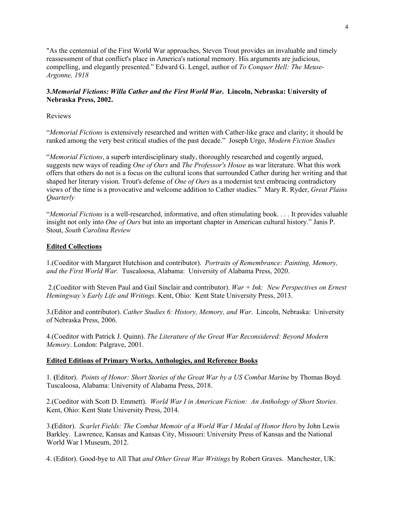"As the centennial of the First World War approaches, Steven Trout provides an invaluable and timely reassessment of that conflict's place in America's national memory. His arguments are judicious, compelling, and elegantly presented." Edward G. Lengel, author of *To Conquer Hell: The Meuse-Argonne, 1918*

# **3.***Memorial Fictions: Willa Cather and the First World War***. Lincoln, Nebraska: University of Nebraska Press, 2002.**

Reviews

"*Memorial Fictions* is extensively researched and written with Cather-like grace and clarity; it should be ranked among the very best critical studies of the past decade." Joseph Urgo, *Modern Fiction Studies*

"*Memorial Fictions*, a superb interdisciplinary study, thoroughly researched and cogently argued, suggests new ways of reading *One of Ours* and *The Professor's House* as war literature. What this work offers that others do not is a focus on the cultural icons that surrounded Cather during her writing and that shaped her literary vision. Trout's defense of *One of Ours* as a modernist text embracing contradictory views of the time is a provocative and welcome addition to Cather studies." Mary R. Ryder, *Great Plains Quarterly*

"*Memorial Fictions* is a well-researched, informative, and often stimulating book. . . . It provides valuable insight not only into *One of Ours* but into an important chapter in American cultural history." Janis P. Stout, *South Carolina Review*

## **Edited Collections**

1.(Coeditor with Margaret Hutchison and contributor). *Portraits of Remembrance: Painting, Memory, and the First World War.* Tuscaloosa, Alabama: University of Alabama Press, 2020.

2.(Coeditor with Steven Paul and Gail Sinclair and contributor). *War + Ink: New Perspectives on Ernest Hemingway's Early Life and Writings*. Kent, Ohio: Kent State University Press, 2013.

3.(Editor and contributor). *Cather Studies 6: History, Memory, and War*. Lincoln, Nebraska: University of Nebraska Press, 2006.

4.(Coeditor with Patrick J. Quinn). *The Literature of the Great War Reconsidered: Beyond Modern Memory*. London: Palgrave, 2001.

### **Edited Editions of Primary Works, Anthologies, and Reference Books**

1. **(**Editor). *Points of Honor: Short Stories of the Great War by a US Combat Marine* by Thomas Boyd. Tuscaloosa, Alabama: University of Alabama Press, 2018.

2.(Coeditor with Scott D. Emmett). *World War I in American Fiction: An Anthology of Short Stories.* Kent, Ohio: Kent State University Press, 2014.

3.**(**Editor). *Scarlet Fields: The Combat Memoir of a World War I Medal of Honor Hero* by John Lewis Barkley. Lawrence, Kansas and Kansas City, Missouri: University Press of Kansas and the National World War I Museum, 2012.

4. (Editor). Good-bye to All That *and Other Great War Writings* by Robert Graves. Manchester, UK: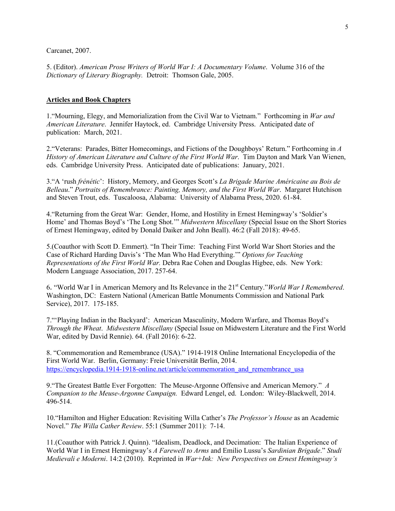Carcanet, 2007.

5. (Editor). *American Prose Writers of World War I: A Documentary Volume*. Volume 316 of the *Dictionary of Literary Biography.* Detroit: Thomson Gale, 2005.

#### **Articles and Book Chapters**

1."Mourning, Elegy, and Memorialization from the Civil War to Vietnam." Forthcoming in *War and American Literature*. Jennifer Haytock, ed. Cambridge University Press. Anticipated date of publication: March, 2021.

2."Veterans: Parades, Bitter Homecomings, and Fictions of the Doughboys' Return." Forthcoming in *A History of American Literature and Culture of the First World War*. Tim Dayton and Mark Van Wienen, eds. Cambridge University Press. Anticipated date of publications: January, 2021.

3."A 'rush *frénétic*': History, Memory, and Georges Scott's *La Brigade Marine Américaine au Bois de Belleau*." *Portraits of Remembrance: Painting, Memory, and the First World War*. Margaret Hutchison and Steven Trout, eds. Tuscaloosa, Alabama: University of Alabama Press, 2020. 61-84.

4."Returning from the Great War: Gender, Home, and Hostility in Ernest Hemingway's 'Soldier's Home' and Thomas Boyd's 'The Long Shot.'" *Midwestern Miscellany* (Special Issue on the Short Stories of Ernest Hemingway, edited by Donald Daiker and John Beall). 46:2 (Fall 2018): 49-65.

5.(Coauthor with Scott D. Emmert). "In Their Time: Teaching First World War Short Stories and the Case of Richard Harding Davis's 'The Man Who Had Everything.'" *Options for Teaching Representations of the First World War.* Debra Rae Cohen and Douglas Higbee, eds. New York: Modern Language Association, 2017. 257-64.

6. "World War I in American Memory and Its Relevance in the 21st Century."*World War I Remembered*. Washington, DC: Eastern National (American Battle Monuments Commission and National Park Service), 2017. 175-185.

7."'Playing Indian in the Backyard': American Masculinity, Modern Warfare, and Thomas Boyd's *Through the Wheat*. *Midwestern Miscellany* (Special Issue on Midwestern Literature and the First World War, edited by David Rennie). 64. (Fall 2016): 6-22.

8. "Commemoration and Remembrance (USA)." 1914-1918 Online International Encyclopedia of the First World War. Berlin, Germany: Freie Universität Berlin, 2014. https://encyclopedia.1914-1918-online.net/article/commemoration\_and\_remembrance\_usa

9."The Greatest Battle Ever Forgotten: The Meuse-Argonne Offensive and American Memory." *A Companion to the Meuse-Argonne Campaign.* Edward Lengel, ed. London: Wiley-Blackwell, 2014. 496-514.

10."Hamilton and Higher Education: Revisiting Willa Cather's *The Professor's House* as an Academic Novel." *The Willa Cather Review*. 55:1 (Summer 2011): 7-14.

11.(Coauthor with Patrick J. Quinn). "Idealism, Deadlock, and Decimation: The Italian Experience of World War I in Ernest Hemingway's *A Farewell to Arms* and Emilio Lussu's *Sardinian Brigade*." *Studi Medievali e Moderni*. 14:2 (2010). Reprinted in *War+Ink: New Perspectives on Ernest Hemingway's*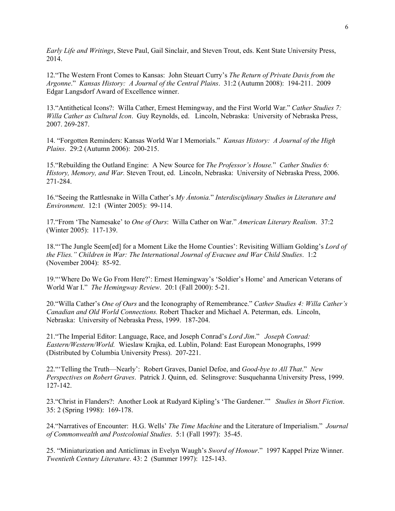*Early Life and Writings*, Steve Paul, Gail Sinclair, and Steven Trout, eds. Kent State University Press, 2014.

12."The Western Front Comes to Kansas: John Steuart Curry's *The Return of Private Davis from the Argonne*." *Kansas History: A Journal of the Central Plains*. 31:2 (Autumn 2008): 194-211. 2009 Edgar Langsdorf Award of Excellence winner.

13."Antithetical Icons?: Willa Cather, Ernest Hemingway, and the First World War." *Cather Studies 7: Willa Cather as Cultural Icon*. Guy Reynolds, ed. Lincoln, Nebraska: University of Nebraska Press, 2007. 269-287.

14. "Forgotten Reminders: Kansas World War I Memorials." *Kansas History: A Journal of the High Plains*. 29:2 (Autumn 2006): 200-215.

15."Rebuilding the Outland Engine: A New Source for *The Professor's House.*" *Cather Studies 6: History, Memory, and War.* Steven Trout, ed. Lincoln, Nebraska: University of Nebraska Press, 2006. 271-284.

16."Seeing the Rattlesnake in Willa Cather's *My Ántonia.*" *Interdisciplinary Studies in Literature and Environment*. 12:1 (Winter 2005): 99-114.

17."From 'The Namesake' to *One of Ours*: Willa Cather on War." *American Literary Realism*. 37:2 (Winter 2005): 117-139.

18."'The Jungle Seem[ed] for a Moment Like the Home Counties': Revisiting William Golding's *Lord of the Flies." Children in War: The International Journal of Evacuee and War Child Studies*. 1:2 (November 2004): 85-92.

19."'Where Do We Go From Here?': Ernest Hemingway's 'Soldier's Home' and American Veterans of World War I." *The Hemingway Review*. 20:1 (Fall 2000): 5-21.

20."Willa Cather's *One of Ours* and the Iconography of Remembrance." *Cather Studies 4: Willa Cather's Canadian and Old World Connections.* Robert Thacker and Michael A. Peterman, eds. Lincoln, Nebraska: University of Nebraska Press, 1999. 187-204.

21."The Imperial Editor: Language, Race, and Joseph Conrad's *Lord Jim*."*Joseph Conrad: Eastern/Western/World.* Wieslaw Krajka, ed. Lublin, Poland: East European Monographs, 1999 (Distributed by Columbia University Press). 207-221.

22."'Telling the Truth—Nearly': Robert Graves, Daniel Defoe, and *Good-bye to All That*." *New Perspectives on Robert Graves*. Patrick J. Quinn, ed. Selinsgrove: Susquehanna University Press, 1999. 127-142.

23."Christ in Flanders?: Another Look at Rudyard Kipling's 'The Gardener.'" *Studies in Short Fiction*. 35: 2 (Spring 1998): 169-178.

24."Narratives of Encounter: H.G. Wells' *The Time Machine* and the Literature of Imperialism." *Journal of Commonwealth and Postcolonial Studies*. 5:1 (Fall 1997): 35-45.

25. "Miniaturization and Anticlimax in Evelyn Waugh's *Sword of Honour*." 1997 Kappel Prize Winner. *Twentieth Century Literature*. 43: 2 (Summer 1997): 125-143.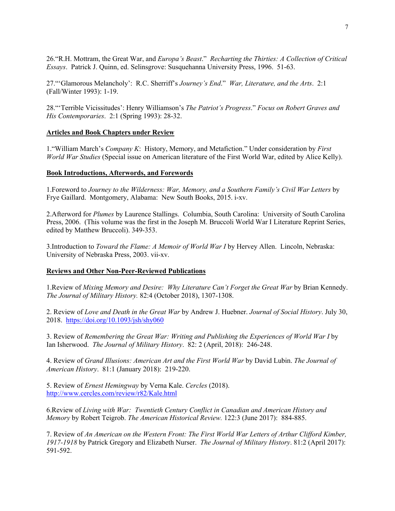26."R.H. Mottram, the Great War, and *Europa's Beast*." *Recharting the Thirties: A Collection of Critical Essays*. Patrick J. Quinn, ed. Selinsgrove: Susquehanna University Press, 1996. 51-63.

27."'Glamorous Melancholy': R.C. Sherriff's *Journey's End*." *War, Literature, and the Arts*. 2:1 (Fall/Winter 1993): 1-19.

28."'Terrible Vicissitudes': Henry Williamson's *The Patriot's Progress*." *Focus on Robert Graves and His Contemporaries*. 2:1 (Spring 1993): 28-32.

## **Articles and Book Chapters under Review**

1."William March's *Company K*: History, Memory, and Metafiction." Under consideration by *First World War Studies* (Special issue on American literature of the First World War, edited by Alice Kelly).

## **Book Introductions, Afterwords, and Forewords**

1.Foreword to *Journey to the Wilderness: War, Memory, and a Southern Family's Civil War Letters* by Frye Gaillard. Montgomery, Alabama: New South Books, 2015. i-xv.

2.Afterword for *Plumes* by Laurence Stallings. Columbia, South Carolina: University of South Carolina Press, 2006. (This volume was the first in the Joseph M. Bruccoli World War I Literature Reprint Series, edited by Matthew Bruccoli). 349-353.

3.Introduction to *Toward the Flame: A Memoir of World War I* by Hervey Allen. Lincoln, Nebraska: University of Nebraska Press, 2003. vii-xv.

# **Reviews and Other Non-Peer-Reviewed Publications**

1.Review of *Mixing Memory and Desire: Why Literature Can't Forget the Great War* by Brian Kennedy. *The Journal of Military History.* 82:4 (October 2018), 1307-1308.

2. Review of *Love and Death in the Great War* by Andrew J. Huebner. *Journal of Social History*. July 30, 2018. https://doi.org/10.1093/jsh/shy060

3. Review of *Remembering the Great War: Writing and Publishing the Experiences of World War I* by Ian Isherwood. *The Journal of Military History*. 82: 2 (April, 2018): 246-248.

4. Review of *Grand Illusions: American Art and the First World War* by David Lubin. *The Journal of American History*. 81:1 (January 2018): 219-220.

5. Review of *Ernest Hemingway* by Verna Kale. *Cercles* (2018). http://www.cercles.com/review/r82/Kale.html

6.Review of *Living with War: Twentieth Century Conflict in Canadian and American History and Memory* by Robert Teigrob. *The American Historical Review.* 122:3 (June 2017): 884-885.

7. Review of *An American on the Western Front: The First World War Letters of Arthur Clifford Kimber, 1917-1918* by Patrick Gregory and Elizabeth Nurser. *The Journal of Military History*. 81:2 (April 2017): 591-592.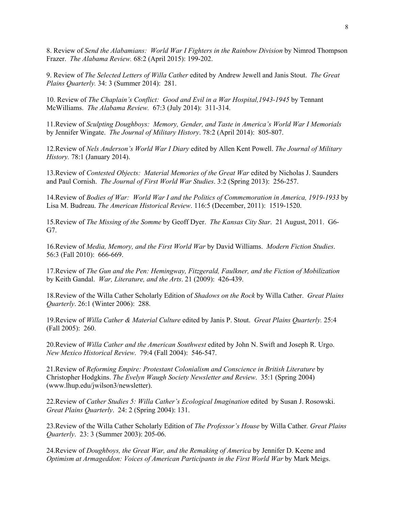8. Review of *Send the Alabamians: World War I Fighters in the Rainbow Division* by Nimrod Thompson Frazer. *The Alabama Review.* 68:2 (April 2015): 199-202.

9. Review of *The Selected Letters of Willa Cather* edited by Andrew Jewell and Janis Stout. *The Great Plains Quarterly.* 34: 3 (Summer 2014): 281.

10. Review of *The Chaplain's Conflict: Good and Evil in a War Hospital,1943-1945* by Tennant McWilliams. *The Alabama Review.* 67:3 (July 2014): 311-314.

11.Review of *Sculpting Doughboys: Memory, Gender, and Taste in America's World War I Memorials* by Jennifer Wingate. *The Journal of Military History*. 78:2 (April 2014): 805-807.

12.Review of *Nels Anderson's World War I Diary* edited by Allen Kent Powell. *The Journal of Military History.* 78:1 (January 2014).

13.Review of *Contested Objects: Material Memories of the Great War* edited by Nicholas J. Saunders and Paul Cornish. *The Journal of First World War Studies*. 3:2 (Spring 2013): 256-257.

14.Review of *Bodies of War: World War I and the Politics of Commemoration in America, 1919-1933* by Lisa M. Budreau. *The American Historical Review*. 116:5 (December, 2011): 1519-1520.

15.Review of *The Missing of the Somme* by Geoff Dyer. *The Kansas City Star*. 21 August, 2011. G6- G7.

16.Review of *Media, Memory, and the First World War* by David Williams. *Modern Fiction Studies*. 56:3 (Fall 2010): 666-669.

17.Review of *The Gun and the Pen: Hemingway, Fitzgerald, Faulkner, and the Fiction of Mobilization*  by Keith Gandal. *War, Literature, and the Arts*. 21 (2009): 426-439.

18.Review of the Willa Cather Scholarly Edition of *Shadows on the Rock* by Willa Cather. *Great Plains Quarterly*. 26:1 (Winter 2006): 288.

19.Review of *Willa Cather & Material Culture* edited by Janis P. Stout. *Great Plains Quarterly.* 25:4 (Fall 2005): 260.

20.Review of *Willa Cather and the American Southwest* edited by John N. Swift and Joseph R. Urgo. *New Mexico Historical Review*. 79:4 (Fall 2004): 546-547.

21.Review of *Reforming Empire: Protestant Colonialism and Conscience in British Literature* by Christopher Hodgkins. *The Evelyn Waugh Society Newsletter and Review*. 35:1 (Spring 2004) (www.lhup.edu/jwilson3/newsletter).

22.Review of *Cather Studies 5: Willa Cather's Ecological Imagination* edited by Susan J. Rosowski. *Great Plains Quarterly*. 24: 2 (Spring 2004): 131.

23.Review of the Willa Cather Scholarly Edition of *The Professor's House* by Willa Cather*. Great Plains Quarterly*. 23: 3 (Summer 2003): 205-06.

24.Review of *Doughboys, the Great War, and the Remaking of America* by Jennifer D. Keene and *Optimism at Armageddon: Voices of American Participants in the First World War by Mark Meigs.*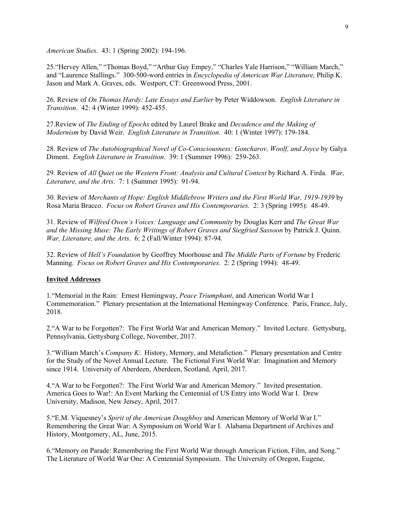*American Studies*. 43: 1 (Spring 2002): 194-196.

25."Hervey Allen," "Thomas Boyd," "Arthur Guy Empey," "Charles Yale Harrison," "William March," and "Laurence Stallings." 300-500-word entries in *Encyclopedia of American War Literature,* Philip K. Jason and Mark A. Graves, eds. Westport, CT: Greenwood Press, 2001.

26. Review of *On Thomas Hardy: Late Essays and Earlier* by Peter Widdowson. *English Literature in Transition*. 42: 4 (Winter 1999): 452-455.

27.Review of *The Ending of Epochs* edited by Laurel Brake and *Decadence and the Making of Modernism* by David Weir. *English Literature in Transition*. 40: 1 (Winter 1997): 179-184.

28. Review of *The Autobiographical Novel of Co-Consciousness: Goncharov, Woolf, and Joyce* by Galya Diment. *English Literature in Transition*. 39: 1 (Summer 1996): 259-263.

29. Review of *All Quiet on the Western Front: Analysis and Cultural Context* by Richard A. Firda. *War, Literature, and the Arts*. 7: 1 (Summer 1995): 91-94.

30. Review of *Merchants of Hope: English Middlebrow Writers and the First World War, 1919-1939* by Rosa Maria Bracco. *Focus on Robert Graves and His Contemporaries*. 2: 3 (Spring 1995): 48-49.

31. Review of *Wilfred Owen's Voices: Language and Community* by Douglas Kerr and *The Great War and the Missing Muse: The Early Writings of Robert Graves and Siegfried Sassoon* by Patrick J. Quinn. *War, Literature, and the Arts*. 6: 2 (Fall/Winter 1994): 87-94.

32. Review of *Hell's Foundation* by Geoffrey Moorhouse and *The Middle Parts of Fortune* by Frederic Manning. *Focus on Robert Graves and His Contemporaries*. 2: 2 (Spring 1994): 48-49.

#### **Invited Addresses**

1."Memorial in the Rain: Ernest Hemingway, *Peace Triumphant*, and American World War I Commemoration." Plenary presentation at the International Hemingway Conference. Paris, France, July, 2018.

2."A War to be Forgotten?: The First World War and American Memory." Invited Lecture. Gettysburg, Pennsylvania, Gettysburg College, November, 2017.

3."William March's *Company K*: History, Memory, and Metafiction." Plenary presentation and Centre for the Study of the Novel Annual Lecture. The Fictional First World War: Imagination and Memory since 1914. University of Aberdeen, Aberdeen, Scotland, April, 2017.

4."A War to be Forgotten?: The First World War and American Memory." Invited presentation. America Goes to War!: An Event Marking the Centennial of US Entry into World War I. Drew University, Madison, New Jersey, April, 2017.

5."E.M. Viquesney's *Spirit of the American Doughboy* and American Memory of World War I." Remembering the Great War: A Symposium on World War I. Alabama Department of Archives and History, Montgomery, AL, June, 2015.

6."Memory on Parade: Remembering the First World War through American Fiction, Film, and Song." The Literature of World War One: A Centennial Symposium. The University of Oregon, Eugene,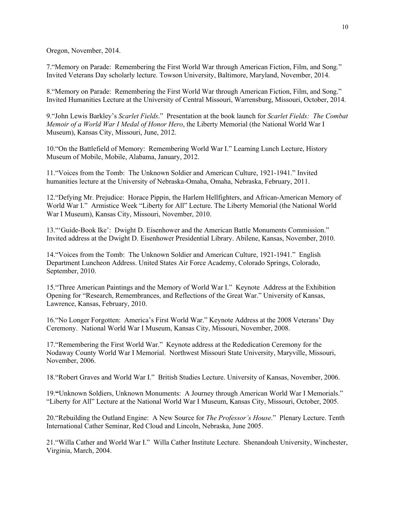Oregon, November, 2014.

7."Memory on Parade: Remembering the First World War through American Fiction, Film, and Song." Invited Veterans Day scholarly lecture. Towson University, Baltimore, Maryland, November, 2014.

8."Memory on Parade: Remembering the First World War through American Fiction, Film, and Song." Invited Humanities Lecture at the University of Central Missouri, Warrensburg, Missouri, October, 2014.

9."John Lewis Barkley's *Scarlet Fields*." Presentation at the book launch for *Scarlet Fields: The Combat Memoir of a World War I Medal of Honor Hero*, the Liberty Memorial (the National World War I Museum), Kansas City, Missouri, June, 2012.

10."On the Battlefield of Memory: Remembering World War I." Learning Lunch Lecture, History Museum of Mobile, Mobile, Alabama, January, 2012.

11."Voices from the Tomb: The Unknown Soldier and American Culture, 1921-1941." Invited humanities lecture at the University of Nebraska-Omaha, Omaha, Nebraska, February, 2011.

12."Defying Mr. Prejudice: Horace Pippin, the Harlem Hellfighters, and African-American Memory of World War I." Armistice Week "Liberty for All" Lecture. The Liberty Memorial (the National World War I Museum), Kansas City, Missouri, November, 2010.

13."'Guide-Book Ike': Dwight D. Eisenhower and the American Battle Monuments Commission." Invited address at the Dwight D. Eisenhower Presidential Library. Abilene, Kansas, November, 2010.

14."Voices from the Tomb: The Unknown Soldier and American Culture, 1921-1941." English Department Luncheon Address. United States Air Force Academy, Colorado Springs, Colorado, September, 2010.

15."Three American Paintings and the Memory of World War I." Keynote Address at the Exhibition Opening for "Research, Remembrances, and Reflections of the Great War." University of Kansas, Lawrence, Kansas, February, 2010.

16."No Longer Forgotten: America's First World War." Keynote Address at the 2008 Veterans' Day Ceremony. National World War I Museum, Kansas City, Missouri, November, 2008.

17."Remembering the First World War." Keynote address at the Rededication Ceremony for the Nodaway County World War I Memorial. Northwest Missouri State University, Maryville, Missouri, November, 2006.

18."Robert Graves and World War I." British Studies Lecture. University of Kansas, November, 2006.

19.**"**Unknown Soldiers, Unknown Monuments: A Journey through American World War I Memorials." "Liberty for All" Lecture at the National World War I Museum, Kansas City, Missouri, October, 2005.

20."Rebuilding the Outland Engine: A New Source for *The Professor's House*." Plenary Lecture. Tenth International Cather Seminar, Red Cloud and Lincoln, Nebraska, June 2005.

21."Willa Cather and World War I." Willa Cather Institute Lecture. Shenandoah University, Winchester, Virginia, March, 2004.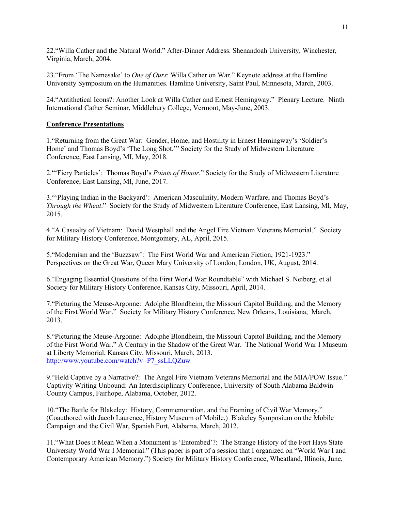22."Willa Cather and the Natural World." After-Dinner Address. Shenandoah University, Winchester, Virginia, March, 2004.

23."From 'The Namesake' to *One of Ours*: Willa Cather on War." Keynote address at the Hamline University Symposium on the Humanities. Hamline University, Saint Paul, Minnesota, March, 2003.

24."Antithetical Icons?: Another Look at Willa Cather and Ernest Hemingway." Plenary Lecture. Ninth International Cather Seminar, Middlebury College, Vermont, May-June, 2003.

#### **Conference Presentations**

1."Returning from the Great War: Gender, Home, and Hostility in Ernest Hemingway's 'Soldier's Home' and Thomas Boyd's 'The Long Shot.'" Society for the Study of Midwestern Literature Conference, East Lansing, MI, May, 2018.

2."'Fiery Particles': Thomas Boyd's *Points of Honor*." Society for the Study of Midwestern Literature Conference, East Lansing, MI, June, 2017.

3."'Playing Indian in the Backyard': American Masculinity, Modern Warfare, and Thomas Boyd's *Through the Wheat*." Society for the Study of Midwestern Literature Conference, East Lansing, MI, May, 2015.

4."A Casualty of Vietnam: David Westphall and the Angel Fire Vietnam Veterans Memorial." Society for Military History Conference, Montgomery, AL, April, 2015.

5."Modernism and the 'Buzzsaw': The First World War and American Fiction, 1921-1923." Perspectives on the Great War, Queen Mary University of London, London, UK, August, 2014.

6."Engaging Essential Questions of the First World War Roundtable" with Michael S. Neiberg, et al. Society for Military History Conference, Kansas City, Missouri, April, 2014.

7."Picturing the Meuse-Argonne: Adolphe Blondheim, the Missouri Capitol Building, and the Memory of the First World War." Society for Military History Conference, New Orleans, Louisiana, March, 2013.

8."Picturing the Meuse-Argonne: Adolphe Blondheim, the Missouri Capitol Building, and the Memory of the First World War." A Century in the Shadow of the Great War. The National World War I Museum at Liberty Memorial, Kansas City, Missouri, March, 2013. http://www.youtube.com/watch?v=P7\_ssLLQZuw

9."Held Captive by a Narrative?: The Angel Fire Vietnam Veterans Memorial and the MIA/POW Issue." Captivity Writing Unbound: An Interdisciplinary Conference, University of South Alabama Baldwin County Campus, Fairhope, Alabama, October, 2012.

10."The Battle for Blakeley: History, Commemoration, and the Framing of Civil War Memory." (Coauthored with Jacob Laurence, History Museum of Mobile.) Blakeley Symposium on the Mobile Campaign and the Civil War, Spanish Fort, Alabama, March, 2012.

11."What Does it Mean When a Monument is 'Entombed'?: The Strange History of the Fort Hays State University World War I Memorial." (This paper is part of a session that I organized on "World War I and Contemporary American Memory.") Society for Military History Conference, Wheatland, Illinois, June,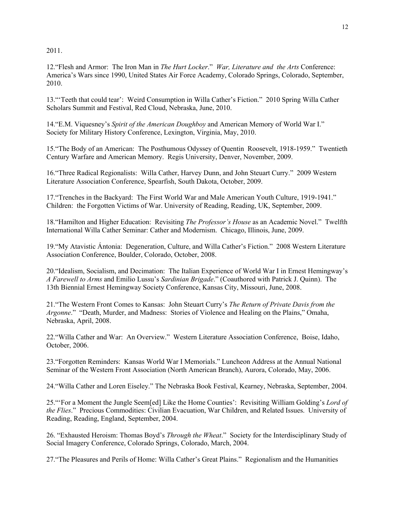2011.

12."Flesh and Armor: The Iron Man in *The Hurt Locker*." *War, Literature and the Arts* Conference: America's Wars since 1990, United States Air Force Academy, Colorado Springs, Colorado, September, 2010.

13."'Teeth that could tear': Weird Consumption in Willa Cather's Fiction." 2010 Spring Willa Cather Scholars Summit and Festival, Red Cloud, Nebraska, June, 2010.

14."E.M. Viquesney's *Spirit of the American Doughboy* and American Memory of World War I." Society for Military History Conference, Lexington, Virginia, May, 2010.

15."The Body of an American: The Posthumous Odyssey of Quentin Roosevelt, 1918-1959." Twentieth Century Warfare and American Memory. Regis University, Denver, November, 2009.

16."Three Radical Regionalists: Willa Cather, Harvey Dunn, and John Steuart Curry." 2009 Western Literature Association Conference, Spearfish, South Dakota, October, 2009.

17."Trenches in the Backyard: The First World War and Male American Youth Culture, 1919-1941." Children: the Forgotten Victims of War. University of Reading, Reading, UK, September, 2009.

18."Hamilton and Higher Education: Revisiting *The Professor's House* as an Academic Novel." Twelfth International Willa Cather Seminar: Cather and Modernism. Chicago, Illinois, June, 2009.

19."My Atavistic Ántonia: Degeneration, Culture, and Willa Cather's Fiction." 2008 Western Literature Association Conference, Boulder, Colorado, October, 2008.

20."Idealism, Socialism, and Decimation: The Italian Experience of World War I in Ernest Hemingway's *A Farewell to Arms* and Emilio Lussu's *Sardinian Brigade*." (Coauthored with Patrick J. Quinn). The 13th Biennial Ernest Hemingway Society Conference, Kansas City, Missouri, June, 2008.

21."The Western Front Comes to Kansas: John Steuart Curry's *The Return of Private Davis from the Argonne*." "Death, Murder, and Madness: Stories of Violence and Healing on the Plains," Omaha, Nebraska, April, 2008.

22."Willa Cather and War: An Overview." Western Literature Association Conference, Boise, Idaho, October, 2006.

23."Forgotten Reminders: Kansas World War I Memorials." Luncheon Address at the Annual National Seminar of the Western Front Association (North American Branch), Aurora, Colorado, May, 2006.

24."Willa Cather and Loren Eiseley." The Nebraska Book Festival, Kearney, Nebraska, September, 2004.

25."'For a Moment the Jungle Seem[ed] Like the Home Counties': Revisiting William Golding's *Lord of the Flies*." Precious Commodities: Civilian Evacuation, War Children, and Related Issues. University of Reading, Reading, England, September, 2004.

26. "Exhausted Heroism: Thomas Boyd's *Through the Wheat*." Society for the Interdisciplinary Study of Social Imagery Conference, Colorado Springs, Colorado, March, 2004.

27."The Pleasures and Perils of Home: Willa Cather's Great Plains." Regionalism and the Humanities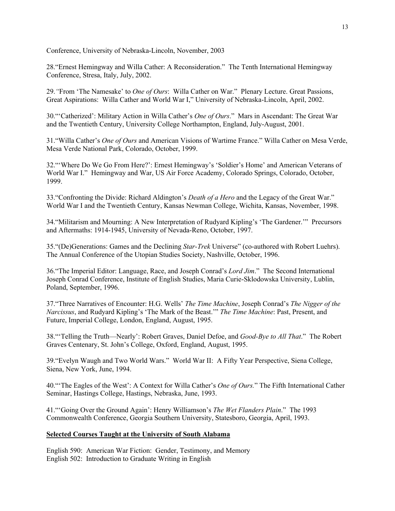Conference, University of Nebraska-Lincoln, November, 2003

28."Ernest Hemingway and Willa Cather: A Reconsideration." The Tenth International Hemingway Conference, Stresa, Italy, July, 2002.

29.*"*From 'The Namesake' to *One of Ours*: Willa Cather on War." Plenary Lecture. Great Passions, Great Aspirations: Willa Cather and World War I," University of Nebraska-Lincoln, April, 2002.

30."'Catherized': Military Action in Willa Cather's *One of Ours*." Mars in Ascendant: The Great War and the Twentieth Century, University College Northampton, England, July-August, 2001.

31."Willa Cather's *One of Ours* and American Visions of Wartime France." Willa Cather on Mesa Verde, Mesa Verde National Park, Colorado, October, 1999.

32."'Where Do We Go From Here?': Ernest Hemingway's 'Soldier's Home' and American Veterans of World War I." Hemingway and War, US Air Force Academy, Colorado Springs, Colorado, October, 1999.

33."Confronting the Divide: Richard Aldington's *Death of a Hero* and the Legacy of the Great War." World War I and the Twentieth Century, Kansas Newman College, Wichita, Kansas, November, 1998.

34."Militarism and Mourning: A New Interpretation of Rudyard Kipling's 'The Gardener.'" Precursors and Aftermaths: 1914-1945, University of Nevada-Reno, October, 1997.

35."(De)Generations: Games and the Declining *Star-Trek* Universe" (co-authored with Robert Luehrs). The Annual Conference of the Utopian Studies Society, Nashville, October, 1996.

36."The Imperial Editor: Language, Race, and Joseph Conrad's *Lord Jim*." The Second International Joseph Conrad Conference, Institute of English Studies, Maria Curie-Sklodowska University, Lublin, Poland, September, 1996.

37."Three Narratives of Encounter: H.G. Wells' *The Time Machine*, Joseph Conrad's *The Nigger of the Narcissus*, and Rudyard Kipling's 'The Mark of the Beast.'" *The Time Machine*: Past, Present, and Future, Imperial College, London, England, August, 1995.

38."'Telling the Truth—Nearly': Robert Graves, Daniel Defoe, and *Good-Bye to All That*." The Robert Graves Centenary, St. John's College, Oxford, England, August, 1995.

39."Evelyn Waugh and Two World Wars." World War II: A Fifty Year Perspective, Siena College, Siena, New York, June, 1994.

40."'The Eagles of the West': A Context for Willa Cather's *One of Ours.*" The Fifth International Cather Seminar, Hastings College, Hastings, Nebraska, June, 1993.

41."'Going Over the Ground Again': Henry Williamson's *The Wet Flanders Plain*." The 1993 Commonwealth Conference, Georgia Southern University, Statesboro, Georgia, April, 1993.

# **Selected Courses Taught at the University of South Alabama**

English 590: American War Fiction: Gender, Testimony, and Memory English 502: Introduction to Graduate Writing in English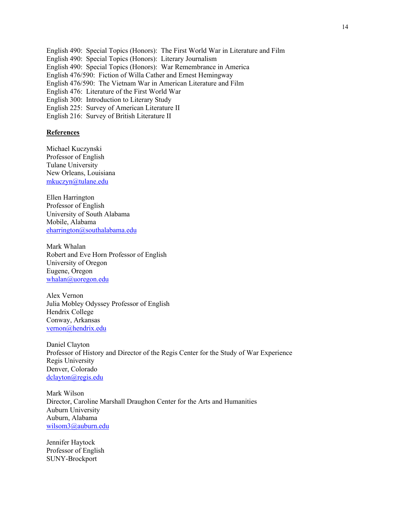English 490: Special Topics (Honors): The First World War in Literature and Film English 490: Special Topics (Honors): Literary Journalism English 490: Special Topics (Honors): War Remembrance in America English 476/590: Fiction of Willa Cather and Ernest Hemingway English 476/590: The Vietnam War in American Literature and Film English 476: Literature of the First World War English 300: Introduction to Literary Study English 225: Survey of American Literature II English 216: Survey of British Literature II

#### **References**

Michael Kuczynski Professor of English Tulane University New Orleans, Louisiana mkuczyn@tulane.edu

Ellen Harrington Professor of English University of South Alabama Mobile, Alabama eharrington@southalabama.edu

Mark Whalan Robert and Eve Horn Professor of English University of Oregon Eugene, Oregon whalan@uoregon.edu

Alex Vernon Julia Mobley Odyssey Professor of English Hendrix College Conway, Arkansas vernon@hendrix.edu

Daniel Clayton Professor of History and Director of the Regis Center for the Study of War Experience Regis University Denver, Colorado dclayton@regis.edu

Mark Wilson Director, Caroline Marshall Draughon Center for the Arts and Humanities Auburn University Auburn, Alabama wilsom3@auburn.edu

Jennifer Haytock Professor of English SUNY-Brockport